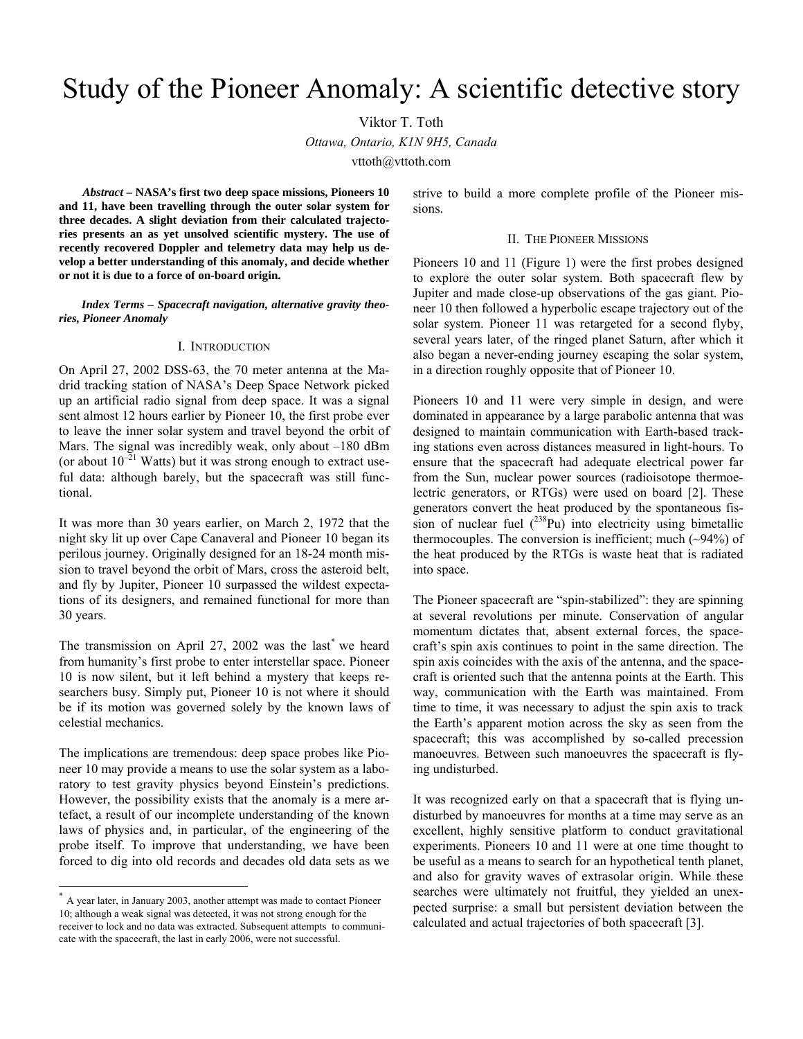# Study of the Pioneer Anomaly: A scientific detective story

Viktor T. Toth

*Ottawa, Ontario, K1N 9H5, Canada* 

vttoth@vttoth.com

*Abstract* **– NASA's first two deep space missions, Pioneers 10 and 11, have been travelling through the outer solar system for three decades. A slight deviation from their calculated trajectories presents an as yet unsolved scientific mystery. The use of recently recovered Doppler and telemetry data may help us develop a better understanding of this anomaly, and decide whether or not it is due to a force of on-board origin.** 

*Index Terms – Spacecraft navigation, alternative gravity theories, Pioneer Anomaly* 

# I. INTRODUCTION

On April 27, 2002 DSS-63, the 70 meter antenna at the Madrid tracking station of NASA's Deep Space Network picked up an artificial radio signal from deep space. It was a signal sent almost 12 hours earlier by Pioneer 10, the first probe ever to leave the inner solar system and travel beyond the orbit of Mars. The signal was incredibly weak, only about –180 dBm (or about  $10^{-21}$  Watts) but it was strong enough to extract useful data: although barely, but the spacecraft was still functional.

It was more than 30 years earlier, on March 2, 1972 that the night sky lit up over Cape Canaveral and Pioneer 10 began its perilous journey. Originally designed for an 18-24 month mission to travel beyond the orbit of Mars, cross the asteroid belt, and fly by Jupiter, Pioneer 10 surpassed the wildest expectations of its designers, and remained functional for more than 30 years.

The transmission on April 27, 2002 was the last\* we heard from humanity's first probe to enter interstellar space. Pioneer 10 is now silent, but it left behind a mystery that keeps researchers busy. Simply put, Pioneer 10 is not where it should be if its motion was governed solely by the known laws of celestial mechanics.

The implications are tremendous: deep space probes like Pioneer 10 may provide a means to use the solar system as a laboratory to test gravity physics beyond Einstein's predictions. However, the possibility exists that the anomaly is a mere artefact, a result of our incomplete understanding of the known laws of physics and, in particular, of the engineering of the probe itself. To improve that understanding, we have been forced to dig into old records and decades old data sets as we

-

strive to build a more complete profile of the Pioneer missions.

# II. THE PIONEER MISSIONS

Pioneers 10 and 11 (Figure 1) were the first probes designed to explore the outer solar system. Both spacecraft flew by Jupiter and made close-up observations of the gas giant. Pioneer 10 then followed a hyperbolic escape trajectory out of the solar system. Pioneer 11 was retargeted for a second flyby, several years later, of the ringed planet Saturn, after which it also began a never-ending journey escaping the solar system, in a direction roughly opposite that of Pioneer 10.

Pioneers 10 and 11 were very simple in design, and were dominated in appearance by a large parabolic antenna that was designed to maintain communication with Earth-based tracking stations even across distances measured in light-hours. To ensure that the spacecraft had adequate electrical power far from the Sun, nuclear power sources (radioisotope thermoelectric generators, or RTGs) were used on board [2]. These generators convert the heat produced by the spontaneous fission of nuclear fuel  $(^{238}Pu)$  into electricity using bimetallic thermocouples. The conversion is inefficient; much  $(\sim 94\%)$  of the heat produced by the RTGs is waste heat that is radiated into space.

The Pioneer spacecraft are "spin-stabilized": they are spinning at several revolutions per minute. Conservation of angular momentum dictates that, absent external forces, the spacecraft's spin axis continues to point in the same direction. The spin axis coincides with the axis of the antenna, and the spacecraft is oriented such that the antenna points at the Earth. This way, communication with the Earth was maintained. From time to time, it was necessary to adjust the spin axis to track the Earth's apparent motion across the sky as seen from the spacecraft; this was accomplished by so-called precession manoeuvres. Between such manoeuvres the spacecraft is flying undisturbed.

It was recognized early on that a spacecraft that is flying undisturbed by manoeuvres for months at a time may serve as an excellent, highly sensitive platform to conduct gravitational experiments. Pioneers 10 and 11 were at one time thought to be useful as a means to search for an hypothetical tenth planet, and also for gravity waves of extrasolar origin. While these searches were ultimately not fruitful, they yielded an unexpected surprise: a small but persistent deviation between the calculated and actual trajectories of both spacecraft [3].

A year later, in January 2003, another attempt was made to contact Pioneer 10; although a weak signal was detected, it was not strong enough for the receiver to lock and no data was extracted. Subsequent attempts to communicate with the spacecraft, the last in early 2006, were not successful.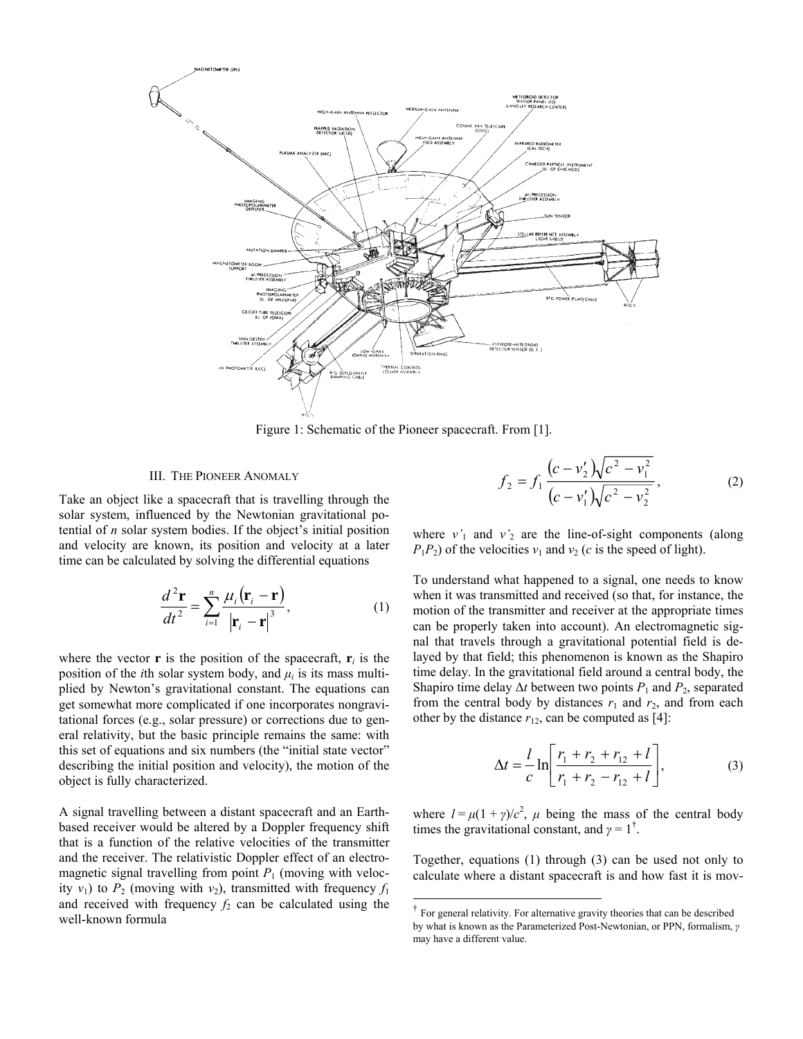

Figure 1: Schematic of the Pioneer spacecraft. From [1].

-

# III. THE PIONEER ANOMALY

Take an object like a spacecraft that is travelling through the solar system, influenced by the Newtonian gravitational potential of *n* solar system bodies. If the object's initial position and velocity are known, its position and velocity at a later time can be calculated by solving the differential equations

$$
\frac{d^2\mathbf{r}}{dt^2} = \sum_{i=1}^n \frac{\mu_i(\mathbf{r}_i - \mathbf{r})}{|\mathbf{r}_i - \mathbf{r}|^3},\tag{1}
$$

where the vector **r** is the position of the spacecraft, **r**<sub>*i*</sub> is the position of the *i*th solar system body, and  $\mu_i$  is its mass multiplied by Newton's gravitational constant. The equations can get somewhat more complicated if one incorporates nongravitational forces (e.g., solar pressure) or corrections due to general relativity, but the basic principle remains the same: with this set of equations and six numbers (the "initial state vector" describing the initial position and velocity), the motion of the object is fully characterized.

A signal travelling between a distant spacecraft and an Earthbased receiver would be altered by a Doppler frequency shift that is a function of the relative velocities of the transmitter and the receiver. The relativistic Doppler effect of an electromagnetic signal travelling from point  $P_1$  (moving with velocity  $v_1$ ) to  $P_2$  (moving with  $v_2$ ), transmitted with frequency  $f_1$ and received with frequency  $f_2$  can be calculated using the well-known formula

$$
f_2 = f_1 \frac{(c - v_2')\sqrt{c^2 - v_1^2}}{(c - v_1')\sqrt{c^2 - v_2^2}},
$$
 (2)

where  $v'_1$  and  $v'_2$  are the line-of-sight components (along  $P_1P_2$ ) of the velocities  $v_1$  and  $v_2$  (*c* is the speed of light).

To understand what happened to a signal, one needs to know when it was transmitted and received (so that, for instance, the motion of the transmitter and receiver at the appropriate times can be properly taken into account). An electromagnetic signal that travels through a gravitational potential field is delayed by that field; this phenomenon is known as the Shapiro time delay. In the gravitational field around a central body, the Shapiro time delay  $\Delta t$  between two points  $P_1$  and  $P_2$ , separated from the central body by distances  $r_1$  and  $r_2$ , and from each other by the distance  $r_{12}$ , can be computed as [4]:

$$
\Delta t = \frac{l}{c} \ln \left[ \frac{r_1 + r_2 + r_{12} + l}{r_1 + r_2 - r_{12} + l} \right],
$$
 (3)

where  $l = \mu(1 + \gamma)/c^2$ ,  $\mu$  being the mass of the central body times the gravitational constant, and  $\gamma = 1^{\dagger}$ .

Together, equations (1) through (3) can be used not only to calculate where a distant spacecraft is and how fast it is mov-

<sup>†</sup> For general relativity. For alternative gravity theories that can be described by what is known as the Parameterized Post-Newtonian, or PPN, formalism, *γ* may have a different value.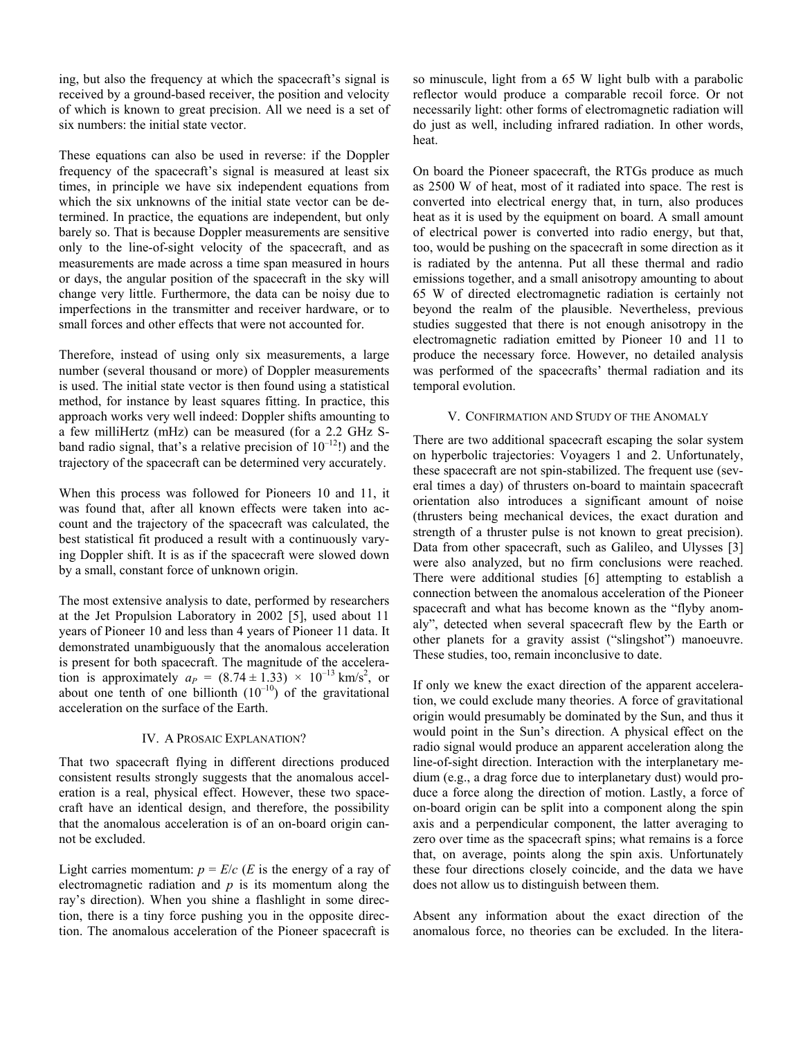ing, but also the frequency at which the spacecraft's signal is received by a ground-based receiver, the position and velocity of which is known to great precision. All we need is a set of six numbers: the initial state vector.

These equations can also be used in reverse: if the Doppler frequency of the spacecraft's signal is measured at least six times, in principle we have six independent equations from which the six unknowns of the initial state vector can be determined. In practice, the equations are independent, but only barely so. That is because Doppler measurements are sensitive only to the line-of-sight velocity of the spacecraft, and as measurements are made across a time span measured in hours or days, the angular position of the spacecraft in the sky will change very little. Furthermore, the data can be noisy due to imperfections in the transmitter and receiver hardware, or to small forces and other effects that were not accounted for.

Therefore, instead of using only six measurements, a large number (several thousand or more) of Doppler measurements is used. The initial state vector is then found using a statistical method, for instance by least squares fitting. In practice, this approach works very well indeed: Doppler shifts amounting to a few milliHertz (mHz) can be measured (for a 2.2 GHz Sband radio signal, that's a relative precision of  $10^{-12}$ !) and the trajectory of the spacecraft can be determined very accurately.

When this process was followed for Pioneers 10 and 11, it was found that, after all known effects were taken into account and the trajectory of the spacecraft was calculated, the best statistical fit produced a result with a continuously varying Doppler shift. It is as if the spacecraft were slowed down by a small, constant force of unknown origin.

The most extensive analysis to date, performed by researchers at the Jet Propulsion Laboratory in 2002 [5], used about 11 years of Pioneer 10 and less than 4 years of Pioneer 11 data. It demonstrated unambiguously that the anomalous acceleration is present for both spacecraft. The magnitude of the acceleration is approximately  $a_P = (8.74 \pm 1.33) \times 10^{-13} \text{ km/s}^2$ , or about one tenth of one billionth  $(10^{-10})$  of the gravitational acceleration on the surface of the Earth.

## IV. A PROSAIC EXPLANATION?

That two spacecraft flying in different directions produced consistent results strongly suggests that the anomalous acceleration is a real, physical effect. However, these two spacecraft have an identical design, and therefore, the possibility that the anomalous acceleration is of an on-board origin cannot be excluded.

Light carries momentum:  $p = E/c$  (*E* is the energy of a ray of electromagnetic radiation and *p* is its momentum along the ray's direction). When you shine a flashlight in some direction, there is a tiny force pushing you in the opposite direction. The anomalous acceleration of the Pioneer spacecraft is

so minuscule, light from a 65 W light bulb with a parabolic reflector would produce a comparable recoil force. Or not necessarily light: other forms of electromagnetic radiation will do just as well, including infrared radiation. In other words, heat.

On board the Pioneer spacecraft, the RTGs produce as much as 2500 W of heat, most of it radiated into space. The rest is converted into electrical energy that, in turn, also produces heat as it is used by the equipment on board. A small amount of electrical power is converted into radio energy, but that, too, would be pushing on the spacecraft in some direction as it is radiated by the antenna. Put all these thermal and radio emissions together, and a small anisotropy amounting to about 65 W of directed electromagnetic radiation is certainly not beyond the realm of the plausible. Nevertheless, previous studies suggested that there is not enough anisotropy in the electromagnetic radiation emitted by Pioneer 10 and 11 to produce the necessary force. However, no detailed analysis was performed of the spacecrafts' thermal radiation and its temporal evolution.

## V. CONFIRMATION AND STUDY OF THE ANOMALY

There are two additional spacecraft escaping the solar system on hyperbolic trajectories: Voyagers 1 and 2. Unfortunately, these spacecraft are not spin-stabilized. The frequent use (several times a day) of thrusters on-board to maintain spacecraft orientation also introduces a significant amount of noise (thrusters being mechanical devices, the exact duration and strength of a thruster pulse is not known to great precision). Data from other spacecraft, such as Galileo, and Ulysses [3] were also analyzed, but no firm conclusions were reached. There were additional studies [6] attempting to establish a connection between the anomalous acceleration of the Pioneer spacecraft and what has become known as the "flyby anomaly", detected when several spacecraft flew by the Earth or other planets for a gravity assist ("slingshot") manoeuvre. These studies, too, remain inconclusive to date.

If only we knew the exact direction of the apparent acceleration, we could exclude many theories. A force of gravitational origin would presumably be dominated by the Sun, and thus it would point in the Sun's direction. A physical effect on the radio signal would produce an apparent acceleration along the line-of-sight direction. Interaction with the interplanetary medium (e.g., a drag force due to interplanetary dust) would produce a force along the direction of motion. Lastly, a force of on-board origin can be split into a component along the spin axis and a perpendicular component, the latter averaging to zero over time as the spacecraft spins; what remains is a force that, on average, points along the spin axis. Unfortunately these four directions closely coincide, and the data we have does not allow us to distinguish between them.

Absent any information about the exact direction of the anomalous force, no theories can be excluded. In the litera